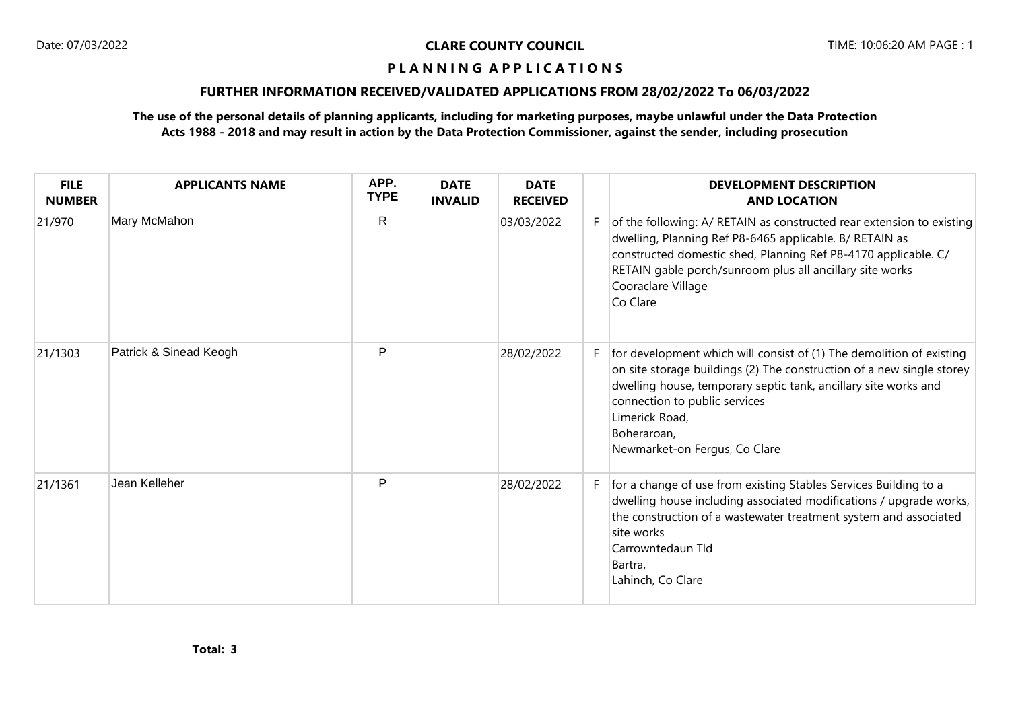# **P L A N N I N G A P P L I C A T I O N S**

# **FURTHER INFORMATION RECEIVED/VALIDATED APPLICATIONS FROM 28/02/2022 To 06/03/2022**

# **The use of the personal details of planning applicants, including for marketing purposes, maybe unlawful under the Data Protection Acts 1988 - 2018 and may result in action by the Data Protection Commissioner, against the sender, including prosecution**

| <b>FILE</b><br><b>NUMBER</b> | <b>APPLICANTS NAME</b> | APP.<br><b>TYPE</b> | <b>DATE</b><br><b>INVALID</b> | <b>DATE</b><br><b>RECEIVED</b> |    | <b>DEVELOPMENT DESCRIPTION</b><br><b>AND LOCATION</b>                                                                                                                                                                                                                                                               |
|------------------------------|------------------------|---------------------|-------------------------------|--------------------------------|----|---------------------------------------------------------------------------------------------------------------------------------------------------------------------------------------------------------------------------------------------------------------------------------------------------------------------|
| 21/970                       | Mary McMahon           | $\mathsf{R}$        |                               | 03/03/2022                     | F. | of the following: A/ RETAIN as constructed rear extension to existing<br>dwelling, Planning Ref P8-6465 applicable. B/ RETAIN as<br>constructed domestic shed, Planning Ref P8-4170 applicable. C/<br>RETAIN gable porch/sunroom plus all ancillary site works<br>Cooraclare Village<br>Co Clare                    |
| 21/1303                      | Patrick & Sinead Keogh | P                   |                               | 28/02/2022                     | F. | for development which will consist of (1) The demolition of existing<br>on site storage buildings (2) The construction of a new single storey<br>dwelling house, temporary septic tank, ancillary site works and<br>connection to public services<br>Limerick Road,<br>Boheraroan,<br>Newmarket-on Fergus, Co Clare |
| 21/1361                      | Jean Kelleher          | P                   |                               | 28/02/2022                     | F. | for a change of use from existing Stables Services Building to a<br>dwelling house including associated modifications / upgrade works,<br>the construction of a wastewater treatment system and associated<br>site works<br>Carrowntedaun Tld<br>Bartra,<br>Lahinch, Co Clare                                       |